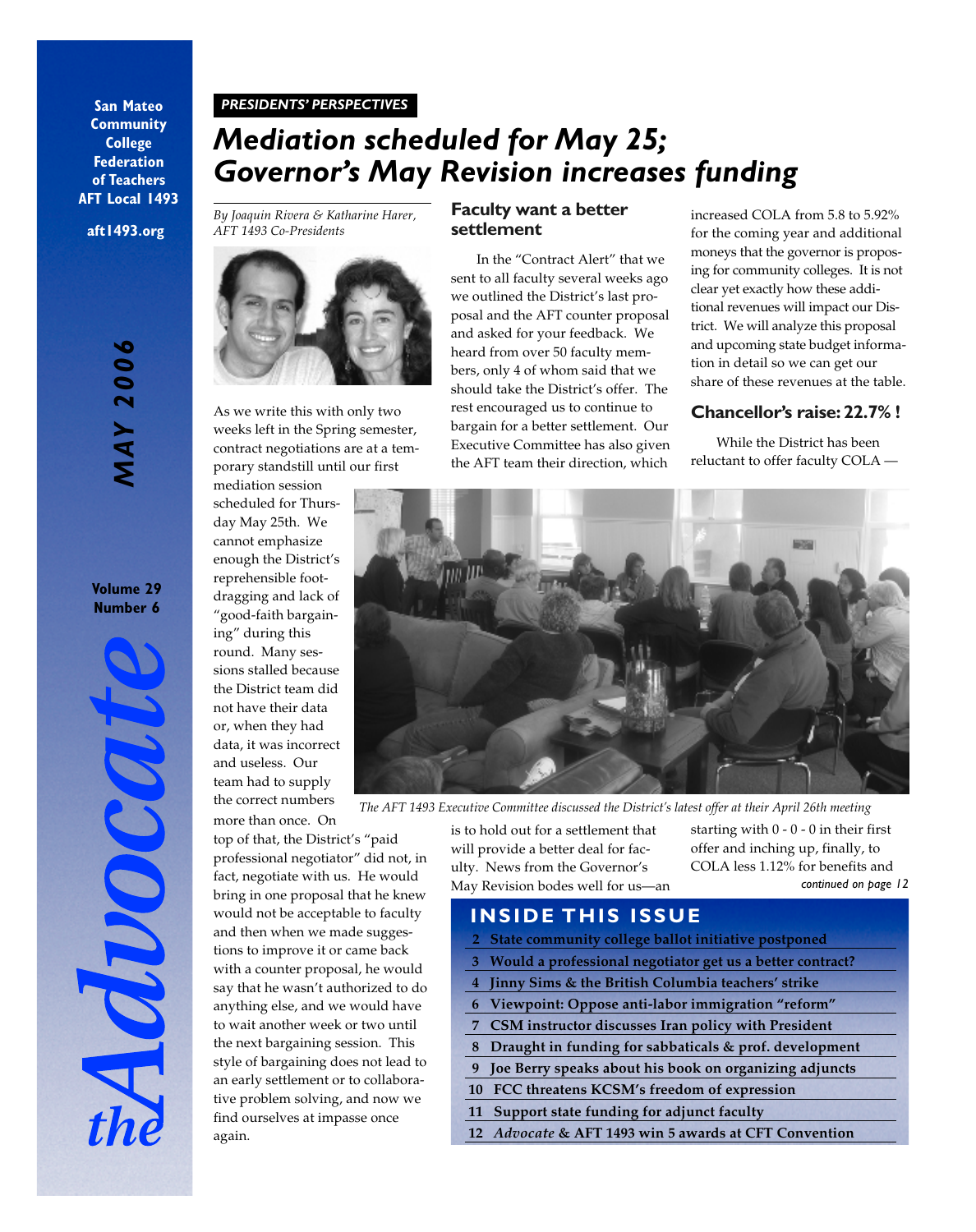#### **San Mateo Community College Federation of Teachers AFT Local 1493**

**aft1493.org**

# **MAY 2006** *MAY 2006*

#### **Volume 29 Number 6**

#### *PRESIDENTS' PERSPECTIVES*

# *Mediation scheduled for May 25; Governor's May Revision increases funding*

*By Joaquin Rivera & Katharine Harer, AFT 1493 Co-Presidents*



As we write this with only two weeks left in the Spring semester, contract negotiations are at a temporary standstill until our first

mediation session scheduled for Thursday May 25th. We cannot emphasize enough the District's reprehensible footdragging and lack of "good-faith bargaining" during this round. Many sessions stalled because the District team did not have their data or, when they had data, it was incorrect and useless. Our team had to supply the correct numbers more than once. On

top of that, the District's "paid professional negotiator" did not, in fact, negotiate with us. He would bring in one proposal that he knew would not be acceptable to faculty and then when we made suggestions to improve it or came back with a counter proposal, he would say that he wasn't authorized to do anything else, and we would have to wait another week or two until the next bargaining session. This style of bargaining does not lead to an early settlement or to collaborative problem solving, and now we find ourselves at impasse once again.

#### **Faculty want a better settlement**

In the "Contract Alert" that we sent to all faculty several weeks ago we outlined the District's last proposal and the AFT counter proposal and asked for your feedback. We heard from over 50 faculty members, only 4 of whom said that we should take the District's offer. The rest encouraged us to continue to bargain for a better settlement. Our Executive Committee has also given the AFT team their direction, which

increased COLA from 5.8 to 5.92% for the coming year and additional moneys that the governor is proposing for community colleges. It is not clear yet exactly how these additional revenues will impact our District. We will analyze this proposal and upcoming state budget information in detail so we can get our share of these revenues at the table.

#### **Chancellor's raise: 22.7% !**

While the District has been reluctant to offer faculty COLA —



*The AFT 1493 Executive Committee discussed the District's latest offer at their April 26th meeting*

is to hold out for a settlement that will provide a better deal for faculty. News from the Governor's May Revision bodes well for us—an

*continued on page 12* starting with  $0 - 0 - 0$  in their first offer and inching up, finally, to COLA less 1.12% for benefits and

## **INSIDE THIS ISSUE**

- **2 State community college ballot initiative postponed**
- **3 Would a professional negotiator get us a better contract?**
- **4 Jinny Sims & the British Columbia teachers' strike**
- **6 Viewpoint: Oppose anti-labor immigration "reform"**
- **7 CSM instructor discusses Iran policy with President**
- **8 Draught in funding for sabbaticals & prof. development**
- **9 Joe Berry speaks about his book on organizing adjuncts**
- **10 FCC threatens KCSM's freedom of expression**
- **11 Support state funding for adjunct faculty**
- **12** *Advocate* **& AFT 1493 win 5 awards at CFT Convention**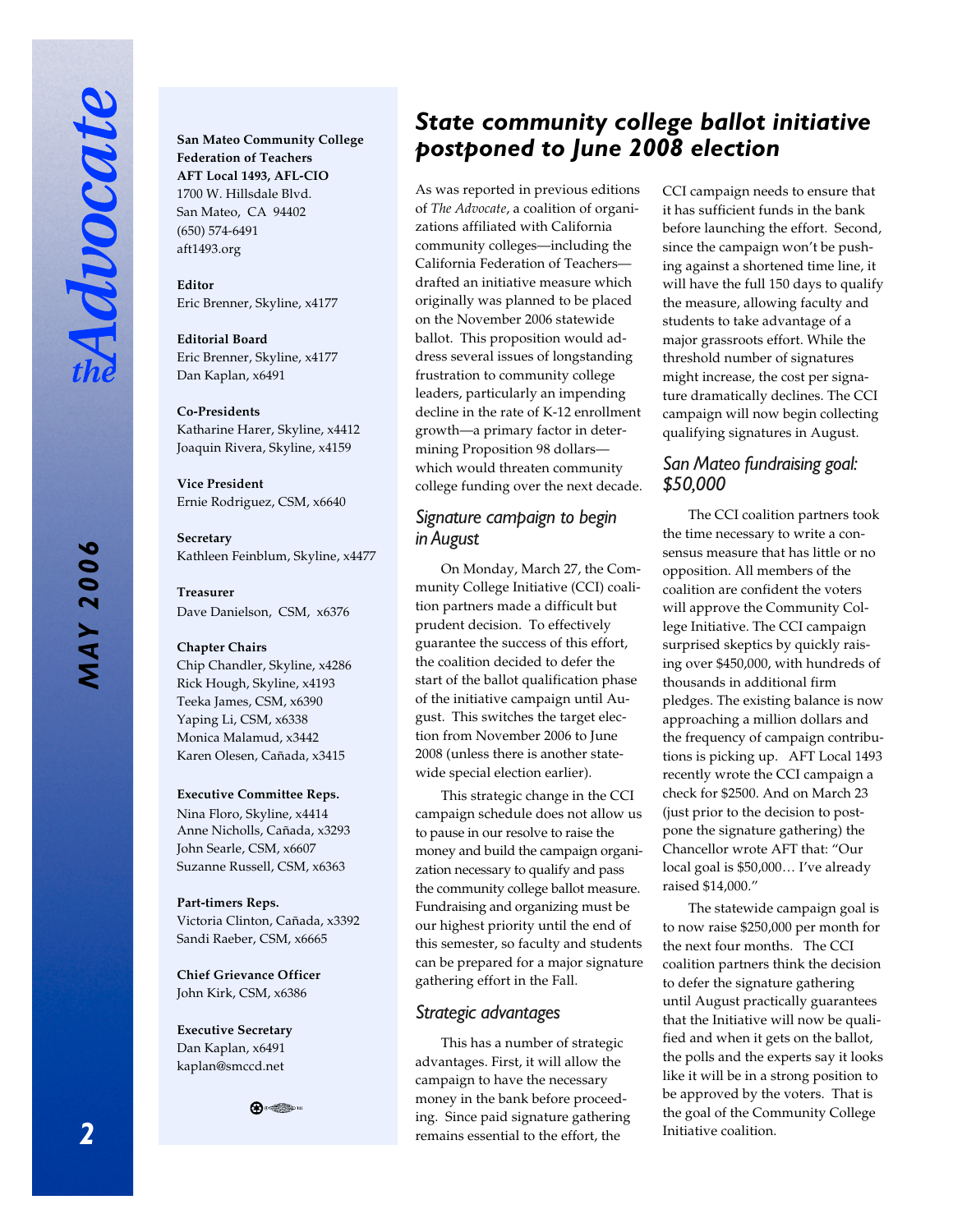**San Mateo Community College Federation of Teachers AFT Local 1493, AFL-CIO** 1700 W. Hillsdale Blvd. San Mateo, CA 94402 (650) 574-6491 aft1493.org

**Editor** Eric Brenner, Skyline, x4177

**Editorial Board** Eric Brenner, Skyline, x4177 Dan Kaplan, x6491

#### **Co-Presidents**

Katharine Harer, Skyline, x4412 Joaquin Rivera, Skyline, x4159

**Vice President** Ernie Rodriguez, CSM, x6640

**Secretary** Kathleen Feinblum, Skyline, x4477

#### **Treasurer**

Dave Danielson, CSM, x6376

#### **Chapter Chairs**

Chip Chandler, Skyline, x4286 Rick Hough, Skyline, x4193 Teeka James, CSM, x6390 Yaping Li, CSM, x6338 Monica Malamud, x3442 Karen Olesen, Cañada, x3415

#### **Executive Committee Reps.**

Nina Floro, Skyline, x4414 Anne Nicholls, Cañada, x3293 John Searle, CSM, x6607 Suzanne Russell, CSM, x6363

**Part-timers Reps.** Victoria Clinton, Cañada, x3392 Sandi Raeber, CSM, x6665

**Chief Grievance Officer** John Kirk, CSM, x6386

**Executive Secretary** Dan Kaplan, x6491 kaplan@smccd.net



### *State community college ballot initiative postponed to June 2008 election*

As was reported in previous editions of *The Advocate*, a coalition of organizations affiliated with California community colleges—including the California Federation of Teachers drafted an initiative measure which originally was planned to be placed on the November 2006 statewide ballot. This proposition would address several issues of longstanding frustration to community college leaders, particularly an impending decline in the rate of K-12 enrollment growth—a primary factor in determining Proposition 98 dollars which would threaten community college funding over the next decade.

#### *Signature campaign to begin in August*

On Monday, March 27, the Community College Initiative (CCI) coalition partners made a difficult but prudent decision. To effectively guarantee the success of this effort, the coalition decided to defer the start of the ballot qualification phase of the initiative campaign until August. This switches the target election from November 2006 to June 2008 (unless there is another statewide special election earlier).

This strategic change in the CCI campaign schedule does not allow us to pause in our resolve to raise the money and build the campaign organization necessary to qualify and pass the community college ballot measure. Fundraising and organizing must be our highest priority until the end of this semester, so faculty and students can be prepared for a major signature gathering effort in the Fall.

#### *Strategic advantages*

This has a number of strategic advantages. First, it will allow the campaign to have the necessary money in the bank before proceeding. Since paid signature gathering remains essential to the effort, the

CCI campaign needs to ensure that it has sufficient funds in the bank before launching the effort. Second, since the campaign won't be pushing against a shortened time line, it will have the full 150 days to qualify the measure, allowing faculty and students to take advantage of a major grassroots effort. While the threshold number of signatures might increase, the cost per signature dramatically declines. The CCI campaign will now begin collecting qualifying signatures in August.

#### *San Mateo fundraising goal: \$50,000*

The CCI coalition partners took the time necessary to write a consensus measure that has little or no opposition. All members of the coalition are confident the voters will approve the Community College Initiative. The CCI campaign surprised skeptics by quickly raising over \$450,000, with hundreds of thousands in additional firm pledges. The existing balance is now approaching a million dollars and the frequency of campaign contributions is picking up. AFT Local 1493 recently wrote the CCI campaign a check for \$2500. And on March 23 (just prior to the decision to postpone the signature gathering) the Chancellor wrote AFT that: "Our local goal is \$50,000… I've already raised \$14,000."

The statewide campaign goal is to now raise \$250,000 per month for the next four months. The CCI coalition partners think the decision to defer the signature gathering until August practically guarantees that the Initiative will now be qualified and when it gets on the ballot, the polls and the experts say it looks like it will be in a strong position to be approved by the voters. That is the goal of the Community College Initiative coalition.

*MAY 2006*

**MAY 2006**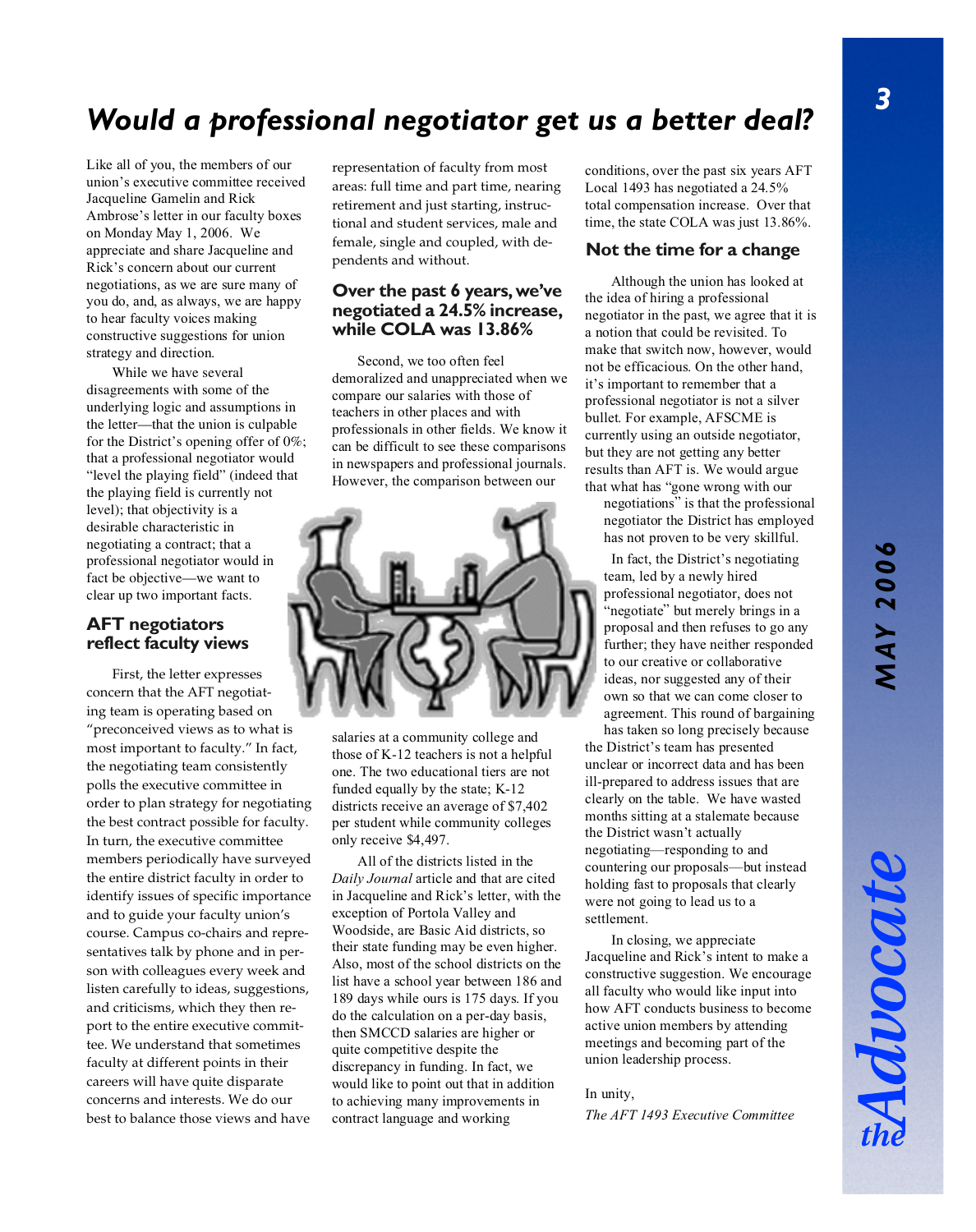# **MAY 2006** *MAY 2006*

Advocat

# *Would a professional negotiator get us a better deal?*

Like all of you, the members of our union's executive committee received Jacqueline Gamelin and Rick Ambrose's letter in our faculty boxes on Monday May 1, 2006. We appreciate and share Jacqueline and Rick's concern about our current negotiations, as we are sure many of you do, and, as always, we are happy to hear faculty voices making constructive suggestions for union strategy and direction.

While we have several disagreements with some of the underlying logic and assumptions in the letter—that the union is culpable for the District's opening offer of 0%; that a professional negotiator would "level the playing field" (indeed that the playing field is currently not level); that objectivity is a desirable characteristic in negotiating a contract; that a professional negotiator would in fact be objective—we want to clear up two important facts.

#### **AFT negotiators reflect faculty views**

First, the letter expresses concern that the AFT negotiating team is operating based on "preconceived views as to what is most important to faculty." In fact, the negotiating team consistently polls the executive committee in order to plan strategy for negotiating the best contract possible for faculty. In turn, the executive committee members periodically have surveyed the entire district faculty in order to identify issues of specific importance and to guide your faculty union's course. Campus co-chairs and representatives talk by phone and in person with colleagues every week and listen carefully to ideas, suggestions, and criticisms, which they then report to the entire executive committee. We understand that sometimes faculty at different points in their careers will have quite disparate concerns and interests. We do our best to balance those views and have

representation of faculty from most areas: full time and part time, nearing retirement and just starting, instructional and student services, male and female, single and coupled, with dependents and without.

#### **Over the past 6 years, we've negotiated a 24.5% increase, while COLA was 13.86%**

Second, we too often feel demoralized and unappreciated when we compare our salaries with those of teachers in other places and with professionals in other fields. We know it can be difficult to see these comparisons in newspapers and professional journals. However, the comparison between our



salaries at a community college and those of K-12 teachers is not a helpful one. The two educational tiers are not funded equally by the state; K-12 districts receive an average of \$7,402 per student while community colleges only receive \$4,497.

All of the districts listed in the *Daily Journal* article and that are cited in Jacqueline and Rick's letter, with the exception of Portola Valley and Woodside, are Basic Aid districts, so their state funding may be even higher. Also, most of the school districts on the list have a school year between 186 and 189 days while ours is 175 days. If you do the calculation on a per-day basis, then SMCCD salaries are higher or quite competitive despite the discrepancy in funding. In fact, we would like to point out that in addition to achieving many improvements in contract language and working

conditions, over the past six years AFT Local 1493 has negotiated a 24.5% total compensation increase. Over that time, the state COLA was just 13.86%.

#### **Not the time for a change**

Although the union has looked at the idea of hiring a professional negotiator in the past, we agree that it is a notion that could be revisited. To make that switch now, however, would not be efficacious. On the other hand, it's important to remember that a professional negotiator is not a silver bullet. For example, AFSCME is currently using an outside negotiator, but they are not getting any better results than AFT is. We would argue that what has "gone wrong with our

negotiations" is that the professional negotiator the District has employed has not proven to be very skillful.

In fact, the District's negotiating team, led by a newly hired professional negotiator, does not "negotiate" but merely brings in a proposal and then refuses to go any further; they have neither responded to our creative or collaborative ideas, nor suggested any of their own so that we can come closer to agreement. This round of bargaining has taken so long precisely because

the District's team has presented unclear or incorrect data and has been ill-prepared to address issues that are clearly on the table. We have wasted months sitting at a stalemate because the District wasn't actually negotiating—responding to and countering our proposals—but instead holding fast to proposals that clearly were not going to lead us to a settlement.

In closing, we appreciate Jacqueline and Rick's intent to make a constructive suggestion. We encourage all faculty who would like input into how AFT conducts business to become active union members by attending meetings and becoming part of the union leadership process.

#### In unity,

*The AFT 1493 Executive Committee*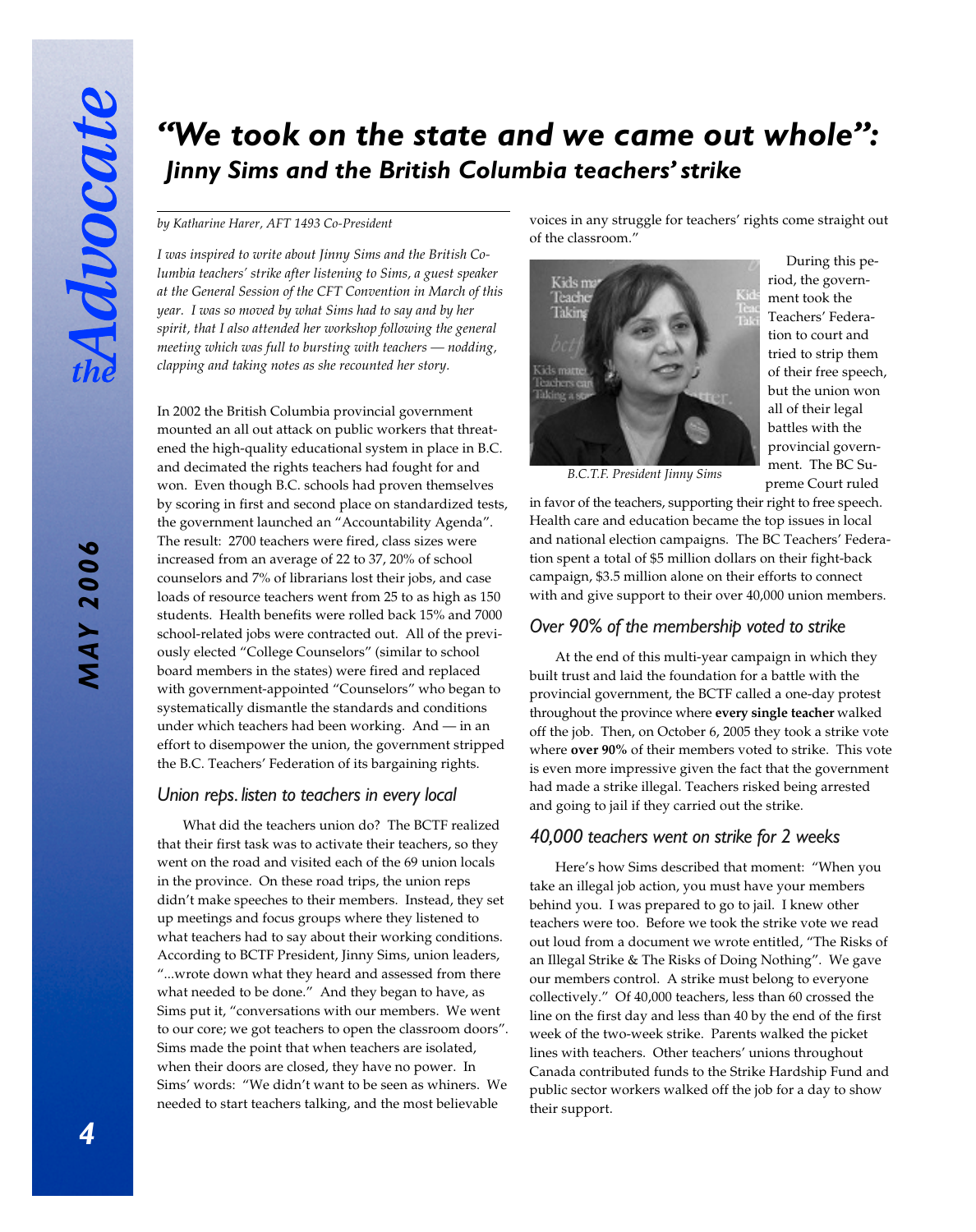# *"We took on the state and we came out whole": Jinny Sims and the British Columbia teachers' strike*

#### *by Katharine Harer, AFT 1493 Co-President*

*I was inspired to write about Jinny Sims and the British Columbia teachers' strike after listening to Sims, a guest speaker at the General Session of the CFT Convention in March of this year. I was so moved by what Sims had to say and by her spirit, that I also attended her workshop following the general meeting which was full to bursting with teachers — nodding, clapping and taking notes as she recounted her story.*

In 2002 the British Columbia provincial government mounted an all out attack on public workers that threatened the high-quality educational system in place in B.C. and decimated the rights teachers had fought for and won. Even though B.C. schools had proven themselves by scoring in first and second place on standardized tests, the government launched an "Accountability Agenda". The result: 2700 teachers were fired, class sizes were increased from an average of 22 to 37, 20% of school counselors and 7% of librarians lost their jobs, and case loads of resource teachers went from 25 to as high as 150 students. Health benefits were rolled back 15% and 7000 school-related jobs were contracted out. All of the previously elected "College Counselors" (similar to school board members in the states) were fired and replaced with government-appointed "Counselors" who began to systematically dismantle the standards and conditions under which teachers had been working. And — in an effort to disempower the union, the government stripped the B.C. Teachers' Federation of its bargaining rights.

#### *Union reps. listen to teachers in every local*

What did the teachers union do? The BCTF realized that their first task was to activate their teachers, so they went on the road and visited each of the 69 union locals in the province. On these road trips, the union reps didn't make speeches to their members. Instead, they set up meetings and focus groups where they listened to what teachers had to say about their working conditions. According to BCTF President, Jinny Sims, union leaders, "...wrote down what they heard and assessed from there what needed to be done." And they began to have, as Sims put it, "conversations with our members. We went to our core; we got teachers to open the classroom doors". Sims made the point that when teachers are isolated, when their doors are closed, they have no power. In Sims' words: "We didn't want to be seen as whiners. We needed to start teachers talking, and the most believable

voices in any struggle for teachers' rights come straight out of the classroom."



During this period, the government took the Teachers' Federation to court and tried to strip them of their free speech, but the union won all of their legal battles with the provincial government. The BC Su- *B.C.T.F. President Jinny Sims* preme Court ruled

in favor of the teachers, supporting their right to free speech. Health care and education became the top issues in local and national election campaigns. The BC Teachers' Federation spent a total of \$5 million dollars on their fight-back campaign, \$3.5 million alone on their efforts to connect with and give support to their over 40,000 union members.

#### *Over 90% of the membership voted to strike*

At the end of this multi-year campaign in which they built trust and laid the foundation for a battle with the provincial government, the BCTF called a one-day protest throughout the province where **every single teacher** walked off the job. Then, on October 6, 2005 they took a strike vote where **over 90%** of their members voted to strike. This vote is even more impressive given the fact that the government had made a strike illegal. Teachers risked being arrested and going to jail if they carried out the strike.

#### *40,000 teachers went on strike for 2 weeks*

Here's how Sims described that moment: "When you take an illegal job action, you must have your members behind you. I was prepared to go to jail. I knew other teachers were too. Before we took the strike vote we read out loud from a document we wrote entitled, "The Risks of an Illegal Strike & The Risks of Doing Nothing". We gave our members control. A strike must belong to everyone collectively." Of 40,000 teachers, less than 60 crossed the line on the first day and less than 40 by the end of the first week of the two-week strike. Parents walked the picket lines with teachers. Other teachers' unions throughout Canada contributed funds to the Strike Hardship Fund and public sector workers walked off the job for a day to show their support.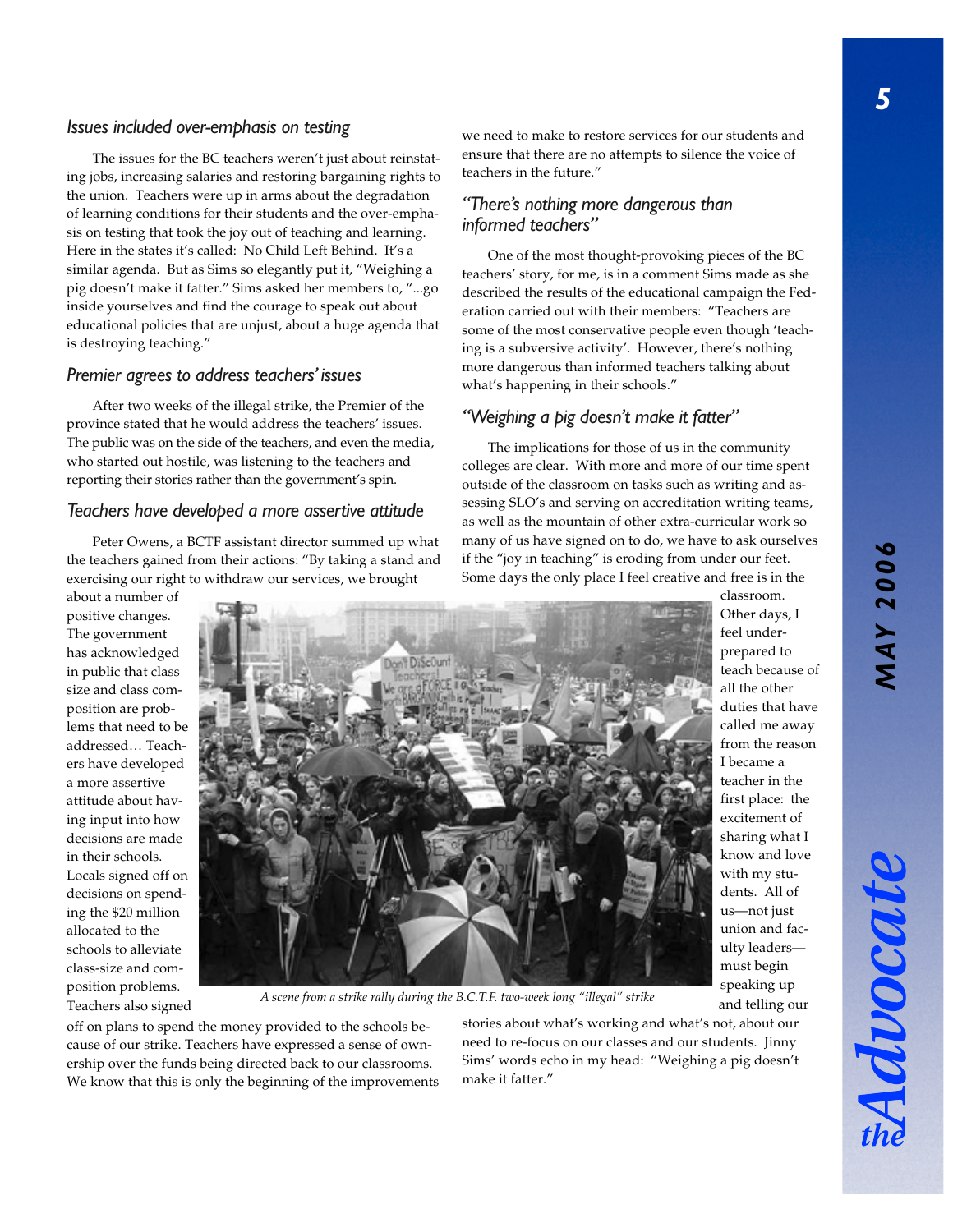# *MAY 2006* **MAY 2006**

DOOCH

#### *Issues included over-emphasis on testing*

The issues for the BC teachers weren't just about reinstating jobs, increasing salaries and restoring bargaining rights to the union. Teachers were up in arms about the degradation of learning conditions for their students and the over-emphasis on testing that took the joy out of teaching and learning. Here in the states it's called: No Child Left Behind. It's a similar agenda. But as Sims so elegantly put it, "Weighing a pig doesn't make it fatter." Sims asked her members to, "...go inside yourselves and find the courage to speak out about educational policies that are unjust, about a huge agenda that is destroying teaching."

#### *Premier agrees to address teachers' issues*

After two weeks of the illegal strike, the Premier of the province stated that he would address the teachers' issues. The public was on the side of the teachers, and even the media, who started out hostile, was listening to the teachers and reporting their stories rather than the government's spin.

#### *Teachers have developed a more assertive attitude*

Peter Owens, a BCTF assistant director summed up what the teachers gained from their actions: "By taking a stand and exercising our right to withdraw our services, we brought

about a number of positive changes. The government has acknowledged in public that class size and class composition are problems that need to be addressed… Teachers have developed a more assertive attitude about having input into how decisions are made in their schools. Locals signed off on decisions on spending the \$20 million allocated to the schools to alleviate class-size and composition problems.



position problems.<br>*A scene from a strike rally during the B.C.T.F. two-week long "illegal" strike* and telling or<br>and telling or

off on plans to spend the money provided to the schools because of our strike. Teachers have expressed a sense of ownership over the funds being directed back to our classrooms. We know that this is only the beginning of the improvements stories about what's working and what's not, about our need to re-focus on our classes and our students. Jinny Sims' words echo in my head: "Weighing a pig doesn't make it fatter."

we need to make to restore services for our students and ensure that there are no attempts to silence the voice of teachers in the future."

#### *"There's nothing more dangerous than informed teachers"*

One of the most thought-provoking pieces of the BC teachers' story, for me, is in a comment Sims made as she described the results of the educational campaign the Federation carried out with their members: "Teachers are some of the most conservative people even though 'teaching is a subversive activity'. However, there's nothing more dangerous than informed teachers talking about what's happening in their schools."

#### *"Weighing a pig doesn't make it fatter"*

The implications for those of us in the community colleges are clear. With more and more of our time spent outside of the classroom on tasks such as writing and assessing SLO's and serving on accreditation writing teams, as well as the mountain of other extra-curricular work so many of us have signed on to do, we have to ask ourselves if the "joy in teaching" is eroding from under our feet. Some days the only place I feel creative and free is in the

> Other days, I feel underprepared to teach because of all the other duties that have called me away from the reason I became a teacher in the first place: the excitement of sharing what I know and love with my students. All of us—not just union and faculty leaders must begin and telling our

classroom.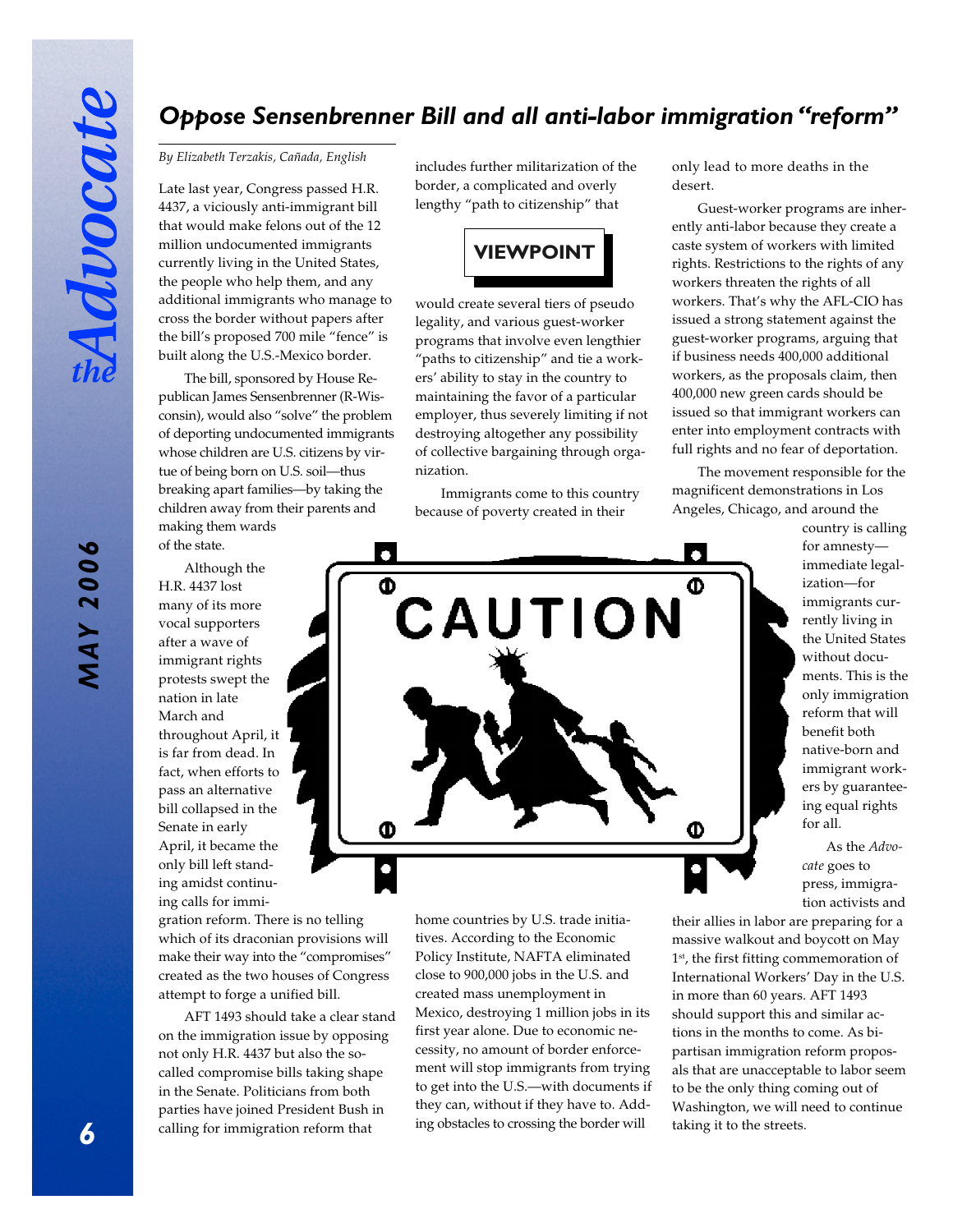## *Oppose Sensenbrenner Bill and all anti-labor immigration "reform"*

#### *By Elizabeth Terzakis, Cañada, English*

Late last year, Congress passed H.R. 4437, a viciously anti-immigrant bill that would make felons out of the 12 million undocumented immigrants currently living in the United States, the people who help them, and any additional immigrants who manage to cross the border without papers after the bill's proposed 700 mile "fence" is built along the U.S.-Mexico border.

The bill, sponsored by House Republican James Sensenbrenner (R-Wisconsin), would also "solve" the problem of deporting undocumented immigrants whose children are U.S. citizens by virtue of being born on U.S. soil—thus breaking apart families—by taking the children away from their parents and making them wards of the state.

Although the H.R. 4437 lost many of its more vocal supporters after a wave of immigrant rights protests swept the nation in late March and throughout April, it is far from dead. In fact, when efforts to pass an alternative bill collapsed in the Senate in early April, it became the only bill left standing amidst continuing calls for immi-

gration reform. There is no telling which of its draconian provisions will make their way into the "compromises" created as the two houses of Congress attempt to forge a unified bill.

AFT 1493 should take a clear stand on the immigration issue by opposing not only H.R. 4437 but also the socalled compromise bills taking shape in the Senate. Politicians from both parties have joined President Bush in calling for immigration reform that

includes further militarization of the border, a complicated and overly lengthy "path to citizenship" that



would create several tiers of pseudo legality, and various guest-worker programs that involve even lengthier "paths to citizenship" and tie a workers' ability to stay in the country to maintaining the favor of a particular employer, thus severely limiting if not destroying altogether any possibility of collective bargaining through organization.

Immigrants come to this country because of poverty created in their

only lead to more deaths in the desert.

Guest-worker programs are inherently anti-labor because they create a caste system of workers with limited rights. Restrictions to the rights of any workers threaten the rights of all workers. That's why the AFL-CIO has issued a strong statement against the guest-worker programs, arguing that if business needs 400,000 additional workers, as the proposals claim, then 400,000 new green cards should be issued so that immigrant workers can enter into employment contracts with full rights and no fear of deportation.

The movement responsible for the magnificent demonstrations in Los Angeles, Chicago, and around the



country is calling for amnesty immediate legalization—for immigrants currently living in the United States without documents. This is the only immigration reform that will benefit both native-born and immigrant workers by guaranteeing equal rights for all.

As the *Advocate* goes to press, immigration activists and

home countries by U.S. trade initiatives. According to the Economic Policy Institute, NAFTA eliminated close to 900,000 jobs in the U.S. and created mass unemployment in Mexico, destroying 1 million jobs in its first year alone. Due to economic necessity, no amount of border enforcement will stop immigrants from trying to get into the U.S.—with documents if they can, without if they have to. Adding obstacles to crossing the border will

their allies in labor are preparing for a massive walkout and boycott on May 1<sup>st</sup>, the first fitting commemoration of International Workers' Day in the U.S. in more than 60 years. AFT 1493 should support this and similar actions in the months to come. As bipartisan immigration reform proposals that are unacceptable to labor seem to be the only thing coming out of Washington, we will need to continue taking it to the streets.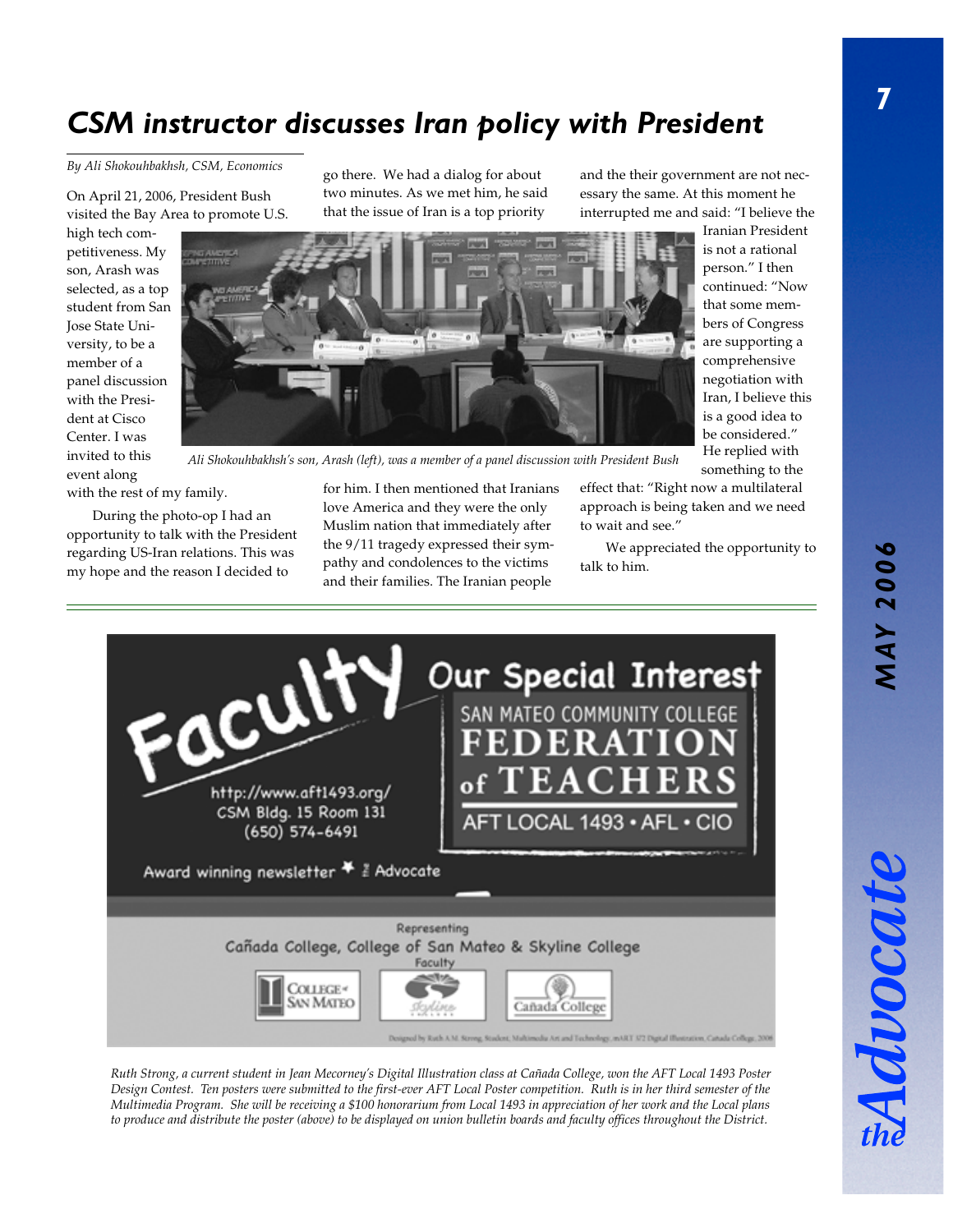# *CSM instructor discusses Iran policy with President*

*By Ali Shokouhbakhsh, CSM, Economics*

On April 21, 2006, President Bush visited the Bay Area to promote U.S.

high tech competitiveness. My son, Arash was selected, as a top student from San Jose State University, to be a member of a panel discussion with the President at Cisco Center. I was invited to this event along

go there. We had a dialog for about two minutes. As we met him, he said that the issue of Iran is a top priority

and the their government are not necessary the same. At this moment he interrupted me and said: "I believe the

Iranian President is not a rational person." I then continued: "Now that some members of Congress are supporting a comprehensive negotiation with Iran, I believe this is a good idea to be considered." He replied with something to the

*Ali Shokouhbakhsh's son, Arash (left), was a member of a panel discussion with President Bush*

with the rest of my family.

During the photo-op I had an opportunity to talk with the President regarding US-Iran relations. This was my hope and the reason I decided to



pathy and condolences to the victims and their families. The Iranian people effect that: "Right now a multilateral approach is being taken and we need to wait and see."

We appreciated the opportunity to talk to him.



*Ruth Strong, a current student in Jean Mecorney's Digital Illustration class at Cañada College, won the AFT Local 1493 Poster Design Contest. Ten posters were submitted to the first-ever AFT Local Poster competition. Ruth is in her third semester of the Multimedia Program. She will be receiving a \$100 honorarium from Local 1493 in appreciation of her work and the Local plans to produce and distribute the poster (above) to be displayed on union bulletin boards and faculty offices throughout the District.*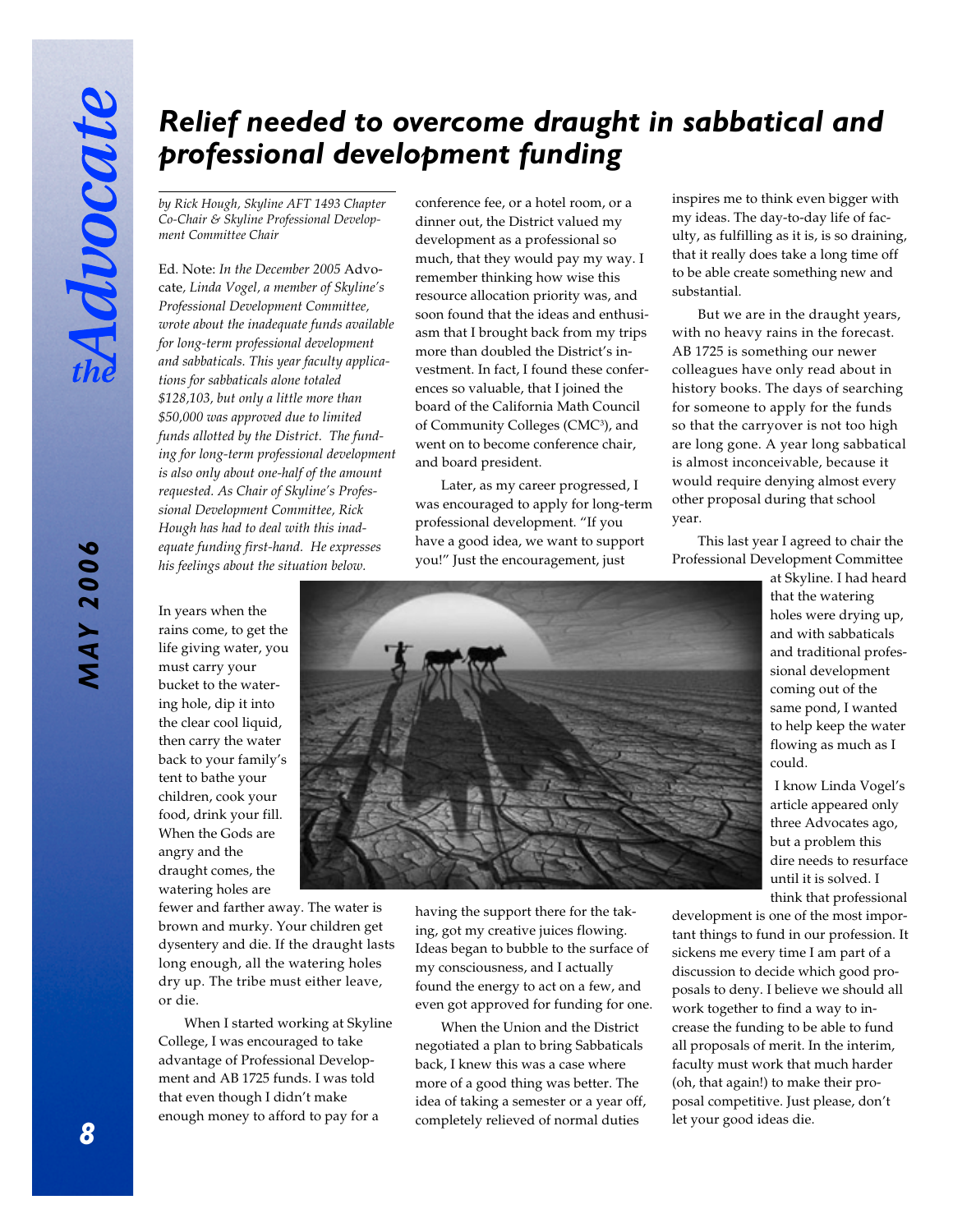# *Relief needed to overcome draught in sabbatical and professional development funding*

*by Rick Hough, Skyline AFT 1493 Chapter Co-Chair & Skyline Professional Development Committee Chair*

Ed. Note: *In the December 2005* Advocate*, Linda Vogel, a member of Skyline's Professional Development Committee, wrote about the inadequate funds available for long-term professional development and sabbaticals. This year faculty applications for sabbaticals alone totaled \$128,103, but only a little more than \$50,000 was approved due to limited funds allotted by the District. The funding for long-term professional development is also only about one-half of the amount requested. As Chair of Skyline's Professional Development Committee, Rick Hough has had to deal with this inadequate funding first-hand. He expresses his feelings about the situation below.*

conference fee, or a hotel room, or a dinner out, the District valued my development as a professional so much, that they would pay my way. I remember thinking how wise this resource allocation priority was, and soon found that the ideas and enthusiasm that I brought back from my trips more than doubled the District's investment. In fact, I found these conferences so valuable, that I joined the board of the California Math Council of Community Colleges (CMC<sup>3</sup>), and went on to become conference chair, and board president.

Later, as my career progressed, I was encouraged to apply for long-term professional development. "If you have a good idea, we want to support you!" Just the encouragement, just

inspires me to think even bigger with my ideas. The day-to-day life of faculty, as fulfilling as it is, is so draining, that it really does take a long time off to be able create something new and substantial.

But we are in the draught years, with no heavy rains in the forecast. AB 1725 is something our newer colleagues have only read about in history books. The days of searching for someone to apply for the funds so that the carryover is not too high are long gone. A year long sabbatical is almost inconceivable, because it would require denying almost every other proposal during that school year.

This last year I agreed to chair the Professional Development Committee

at Skyline. I had heard that the watering holes were drying up, and with sabbaticals and traditional professional development coming out of the same pond, I wanted to help keep the water flowing as much as I could.

I know Linda Vogel's article appeared only three Advocates ago, but a problem this dire needs to resurface until it is solved. I think that professional

development is one of the most important things to fund in our profession. It sickens me every time I am part of a discussion to decide which good proposals to deny. I believe we should all work together to find a way to increase the funding to be able to fund all proposals of merit. In the interim, faculty must work that much harder (oh, that again!) to make their proposal competitive. Just please, don't let your good ideas die.

In years when the rains come, to get the life giving water, you must carry your bucket to the watering hole, dip it into the clear cool liquid, then carry the water back to your family's tent to bathe your children, cook your food, drink your fill. When the Gods are angry and the draught comes, the watering holes are

fewer and farther away. The water is brown and murky. Your children get dysentery and die. If the draught lasts long enough, all the watering holes dry up. The tribe must either leave, or die.

When I started working at Skyline College, I was encouraged to take advantage of Professional Development and AB 1725 funds. I was told that even though I didn't make enough money to afford to pay for a



having the support there for the taking, got my creative juices flowing. Ideas began to bubble to the surface of my consciousness, and I actually found the energy to act on a few, and even got approved for funding for one.

When the Union and the District negotiated a plan to bring Sabbaticals back, I knew this was a case where more of a good thing was better. The idea of taking a semester or a year off, completely relieved of normal duties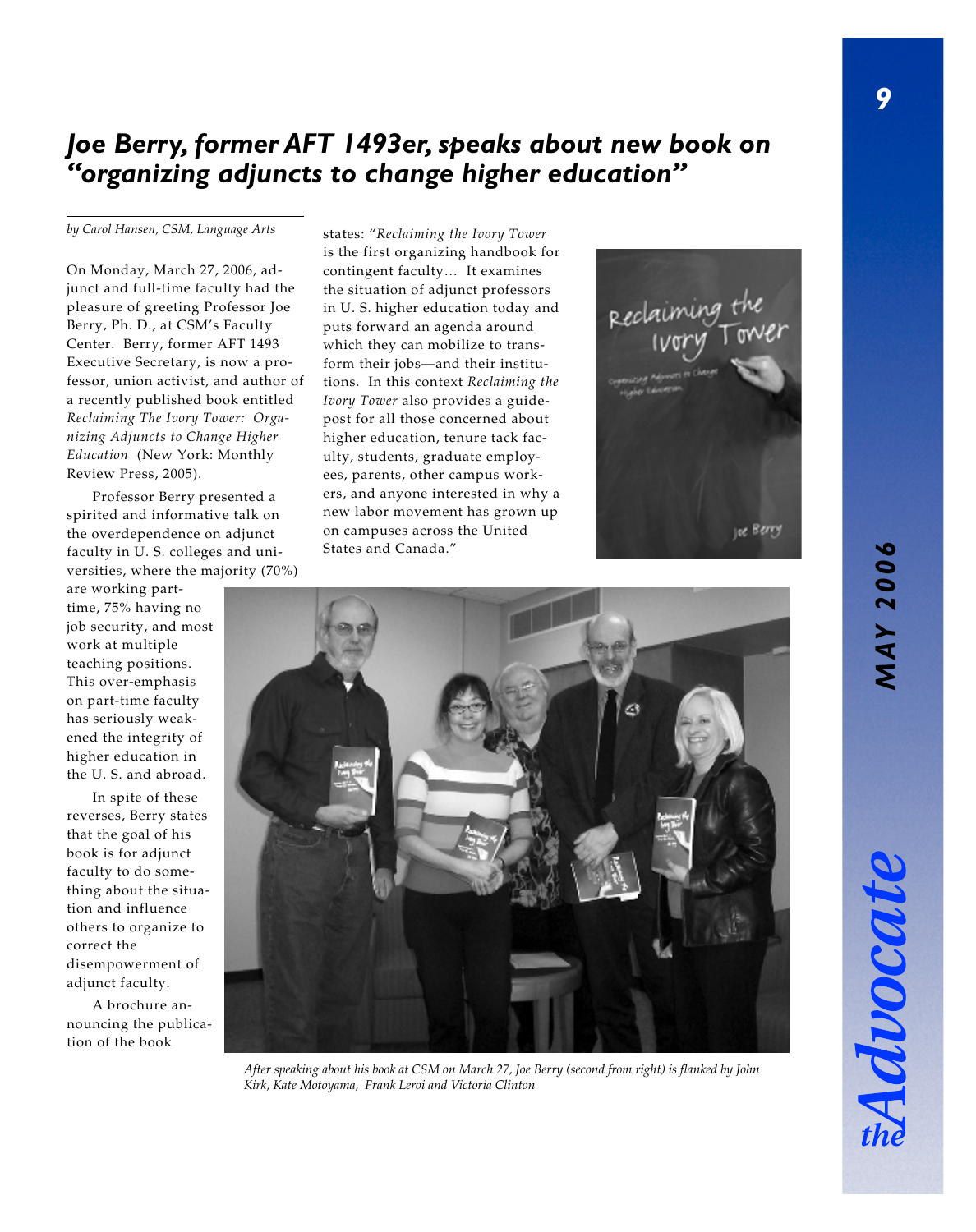## *Joe Berry, former AFT 1493er, speaks about new book on "organizing adjuncts to change higher education"*

*by Carol Hansen, CSM, Language Arts* states: "*Reclaiming the Ivory Tower*

On Monday, March 27, 2006, adjunct and full-time faculty had the pleasure of greeting Professor Joe Berry, Ph. D., at CSM's Faculty Center. Berry, former AFT 1493 Executive Secretary, is now a professor, union activist, and author of a recently published book entitled *Reclaiming The Ivory Tower: Organizing Adjuncts to Change Higher Education* (New York: Monthly Review Press, 2005).

Professor Berry presented a spirited and informative talk on the overdependence on adjunct faculty in U. S. colleges and universities, where the majority (70%)

are working parttime, 75% having no job security, and most work at multiple teaching positions. This over-emphasis on part-time faculty has seriously weakened the integrity of higher education in the U. S. and abroad.

In spite of these reverses, Berry states that the goal of his book is for adjunct faculty to do something about the situation and influence others to organize to correct the disempowerment of adjunct faculty.

A brochure announcing the publication of the book

is the first organizing handbook for contingent faculty… It examines the situation of adjunct professors in U. S. higher education today and puts forward an agenda around which they can mobilize to transform their jobs—and their institutions. In this context *Reclaiming the Ivory Tower* also provides a guidepost for all those concerned about higher education, tenure tack faculty, students, graduate employees, parents, other campus workers, and anyone interested in why a new labor movement has grown up on campuses across the United States and Canada."





*After speaking about his book at CSM on March 27, Joe Berry (second from right) is flanked by John Kirk, Kate Motoyama, Frank Leroi and Victoria Clinton*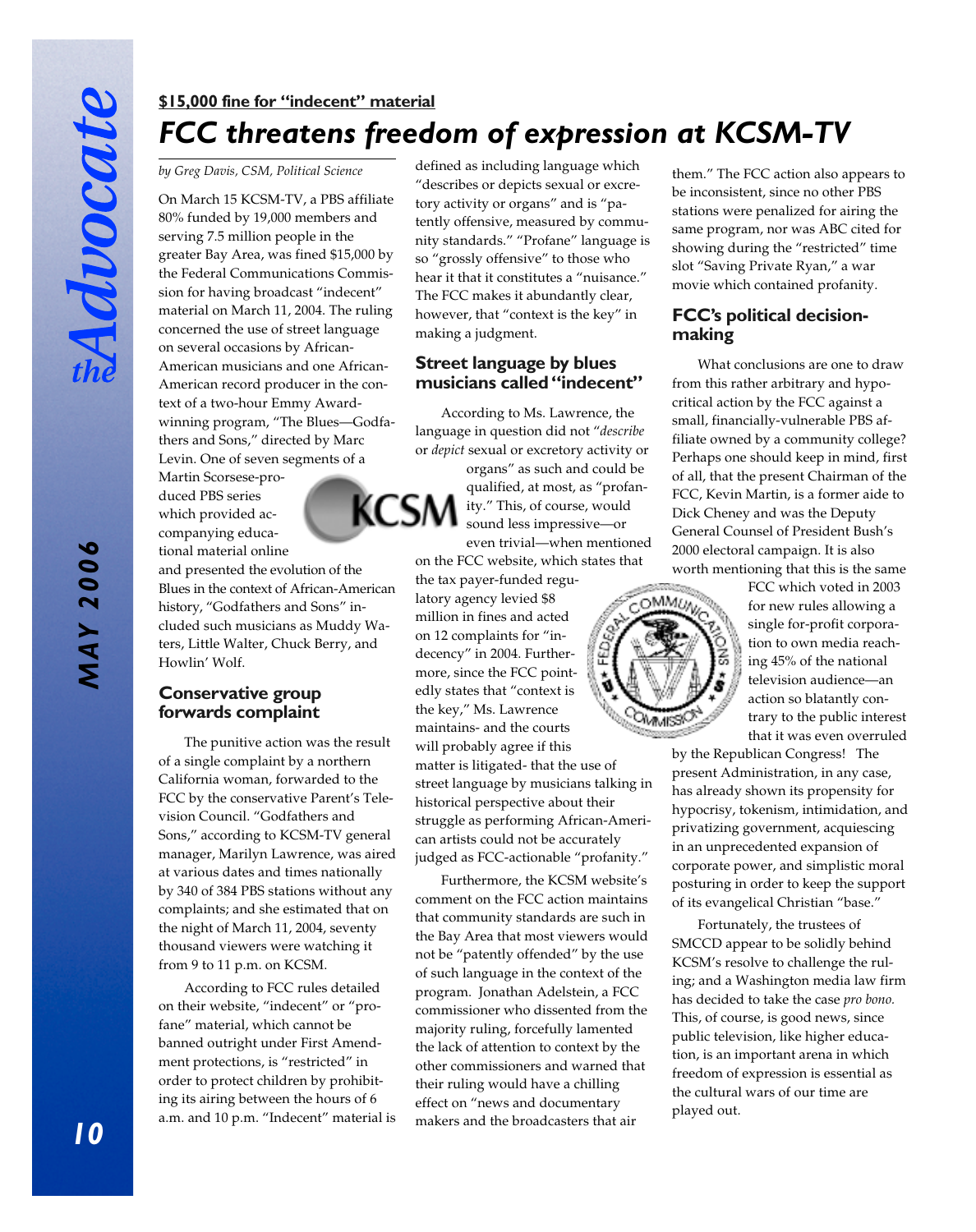*MAY 2006*

**MAY 2006** 

## *FCC threatens freedom of expression at KCSM-TV* **\$15,000 fine for "indecent" material**

#### *by Greg Davis, CSM, Political Science*

On March 15 KCSM-TV, a PBS affiliate 80% funded by 19,000 members and serving 7.5 million people in the greater Bay Area, was fined \$15,000 by the Federal Communications Commission for having broadcast "indecent" material on March 11, 2004. The ruling concerned the use of street language on several occasions by African-American musicians and one African-American record producer in the context of a two-hour Emmy Awardwinning program, "The Blues—Godfathers and Sons," directed by Marc Levin. One of seven segments of a

Martin Scorsese-produced PBS series which provided accompanying educational material online

and presented the evolution of the Blues in the context of African-American history, "Godfathers and Sons" included such musicians as Muddy Waters, Little Walter, Chuck Berry, and Howlin' Wolf.

#### **Conservative group forwards complaint**

The punitive action was the result of a single complaint by a northern California woman, forwarded to the FCC by the conservative Parent's Television Council. "Godfathers and Sons," according to KCSM-TV general manager, Marilyn Lawrence, was aired at various dates and times nationally by 340 of 384 PBS stations without any complaints; and she estimated that on the night of March 11, 2004, seventy thousand viewers were watching it from 9 to 11 p.m. on KCSM.

According to FCC rules detailed on their website, "indecent" or "profane" material, which cannot be banned outright under First Amendment protections, is "restricted" in order to protect children by prohibiting its airing between the hours of 6 a.m. and 10 p.m. "Indecent" material is

defined as including language which "describes or depicts sexual or excretory activity or organs" and is "patently offensive, measured by community standards." "Profane" language is so "grossly offensive" to those who hear it that it constitutes a "nuisance." The FCC makes it abundantly clear, however, that "context is the key" in making a judgment.

#### **Street language by blues musicians called "indecent"**

According to Ms. Lawrence, the language in question did not "*describe* or *depict* sexual or excretory activity or organs" as such and could be qualified, at most, as "profan-KCSM ity." This, of course, would sound less impressive—or even trivial—when mentioned

on the FCC website, which states that the tax payer-funded regulatory agency levied \$8 million in fines and acted on 12 complaints for "indecency" in 2004. Furthermore, since the FCC pointedly states that "context is the key," Ms. Lawrence maintains- and the courts will probably agree if this matter is litigated- that the use of street language by musicians talking in historical perspective about their struggle as performing African-American artists could not be accurately judged as FCC-actionable "profanity."

Furthermore, the KCSM website's comment on the FCC action maintains that community standards are such in the Bay Area that most viewers would not be "patently offended" by the use of such language in the context of the program. Jonathan Adelstein, a FCC commissioner who dissented from the majority ruling, forcefully lamented the lack of attention to context by the other commissioners and warned that their ruling would have a chilling effect on "news and documentary makers and the broadcasters that air

them." The FCC action also appears to be inconsistent, since no other PBS stations were penalized for airing the same program, nor was ABC cited for showing during the "restricted" time slot "Saving Private Ryan," a war movie which contained profanity.

#### **FCC's political decisionmaking**

What conclusions are one to draw from this rather arbitrary and hypocritical action by the FCC against a small, financially-vulnerable PBS affiliate owned by a community college? Perhaps one should keep in mind, first of all, that the present Chairman of the FCC, Kevin Martin, is a former aide to Dick Cheney and was the Deputy General Counsel of President Bush's 2000 electoral campaign. It is also worth mentioning that this is the same



FCC which voted in 2003 for new rules allowing a single for-profit corporation to own media reaching 45% of the national television audience—an action so blatantly contrary to the public interest that it was even overruled

by the Republican Congress! The present Administration, in any case, has already shown its propensity for hypocrisy, tokenism, intimidation, and privatizing government, acquiescing in an unprecedented expansion of corporate power, and simplistic moral posturing in order to keep the support of its evangelical Christian "base."

Fortunately, the trustees of SMCCD appear to be solidly behind KCSM's resolve to challenge the ruling; and a Washington media law firm has decided to take the case *pro bono.* This, of course, is good news, since public television, like higher education, is an important arena in which freedom of expression is essential as the cultural wars of our time are played out.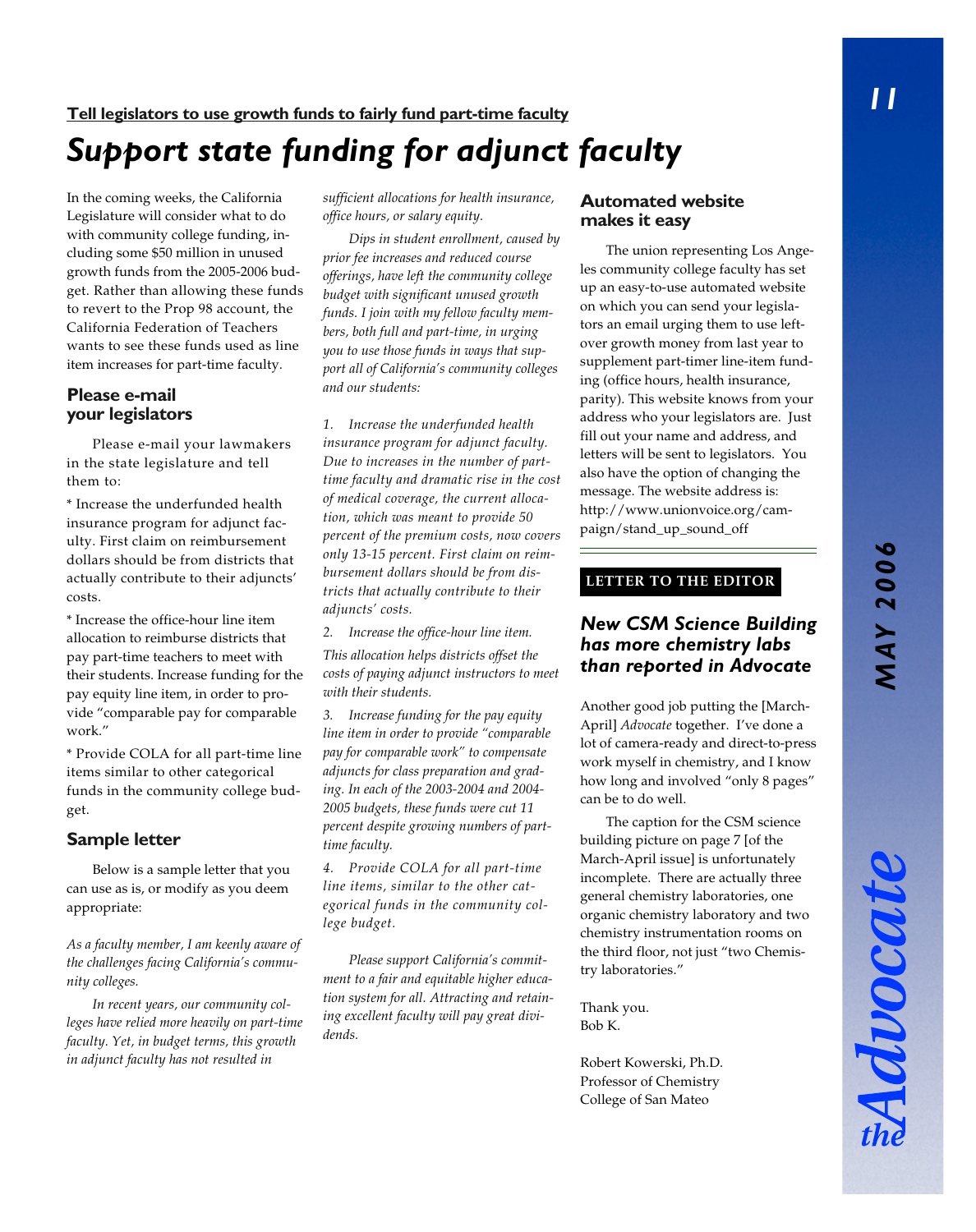In the coming weeks, the California Legislature will consider what to do with community college funding, including some \$50 million in unused growth funds from the 2005-2006 budget. Rather than allowing these funds to revert to the Prop 98 account, the California Federation of Teachers wants to see these funds used as line item increases for part-time faculty.

#### **Please e-mail your legislators**

Please e-mail your lawmakers in the state legislature and tell them to:

\* Increase the underfunded health insurance program for adjunct faculty. First claim on reimbursement dollars should be from districts that actually contribute to their adjuncts' costs.

\* Increase the office-hour line item allocation to reimburse districts that pay part-time teachers to meet with their students. Increase funding for the pay equity line item, in order to provide "comparable pay for comparable work."

\* Provide COLA for all part-time line items similar to other categorical funds in the community college budget.

#### **Sample letter**

Below is a sample letter that you can use as is, or modify as you deem appropriate:

*As a faculty member, I am keenly aware of the challenges facing California's community colleges.*

*In recent years, our community colleges have relied more heavily on part-time faculty. Yet, in budget terms, this growth in adjunct faculty has not resulted in*

*sufficient allocations for health insurance, office hours, or salary equity.*

*Dips in student enrollment, caused by prior fee increases and reduced course offerings, have left the community college budget with significant unused growth funds. I join with my fellow faculty members, both full and part-time, in urging you to use those funds in ways that support all of California's community colleges and our students:*

*1. Increase the underfunded health insurance program for adjunct faculty. Due to increases in the number of parttime faculty and dramatic rise in the cost of medical coverage, the current allocation, which was meant to provide 50 percent of the premium costs, now covers only 13-15 percent. First claim on reimbursement dollars should be from districts that actually contribute to their adjuncts' costs.*

*2. Increase the office-hour line item.*

*This allocation helps districts offset the costs of paying adjunct instructors to meet with their students.*

*3. Increase funding for the pay equity line item in order to provide "comparable pay for comparable work" to compensate adjuncts for class preparation and grading. In each of the 2003-2004 and 2004- 2005 budgets, these funds were cut 11 percent despite growing numbers of parttime faculty.*

*4. Provide COLA for all part-time line items, similar to the other categorical funds in the community college budget.*

*Please support California's commitment to a fair and equitable higher education system for all. Attracting and retaining excellent faculty will pay great dividends.*

#### **Automated website makes it easy**

The union representing Los Angeles community college faculty has set up an easy-to-use automated website on which you can send your legislators an email urging them to use leftover growth money from last year to supplement part-timer line-item funding (office hours, health insurance, parity). This website knows from your address who your legislators are. Just fill out your name and address, and letters will be sent to legislators. You also have the option of changing the message. The website address is: http://www.unionvoice.org/campaign/stand\_up\_sound\_off

#### **LETTER TO THE EDITOR**

#### *New CSM Science Building has more chemistry labs than reported in Advocate*

Another good job putting the [March-April] *Advocate* together. I've done a lot of camera-ready and direct-to-press work myself in chemistry, and I know how long and involved "only 8 pages" can be to do well.

The caption for the CSM science building picture on page 7 [of the March-April issue] is unfortunately incomplete. There are actually three general chemistry laboratories, one organic chemistry laboratory and two chemistry instrumentation rooms on the third floor, not just "two Chemistry laboratories."

Thank you. Bob K.

Robert Kowerski, Ph.D. Professor of Chemistry College of San Mateo